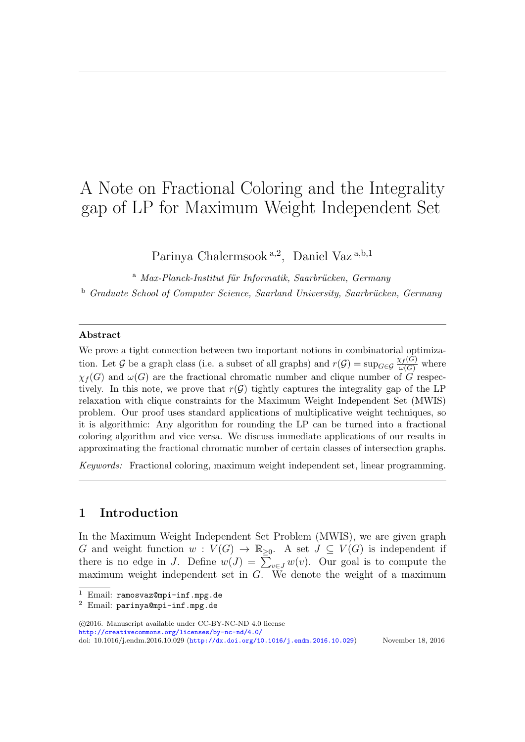# A Note on Fractional Coloring and the Integrality gap of LP for Maximum Weight Independent Set

Parinya Chalermsook<sup>a, 2</sup>, Daniel Vaz<sup>a, b, 1</sup>

 $a$  Max-Planck-Institut für Informatik, Saarbrücken, Germany <sup>b</sup> Graduate School of Computer Science, Saarland University, Saarbrücken, Germany

#### Abstract

We prove a tight connection between two important notions in combinatorial optimization. Let G be a graph class (i.e. a subset of all graphs) and  $r(G) = \sup_{G \in \mathcal{G}} \frac{\chi_f(G)}{\omega(G)}$  where  $\chi_f(G)$  and  $\omega(G)$  are the fractional chromatic number and clique number of  $G$  respectively. In this note, we prove that  $r(G)$  tightly captures the integrality gap of the LP relaxation with clique constraints for the Maximum Weight Independent Set (MWIS) problem. Our proof uses standard applications of multiplicative weight techniques, so it is algorithmic: Any algorithm for rounding the LP can be turned into a fractional coloring algorithm and vice versa. We discuss immediate applications of our results in approximating the fractional chromatic number of certain classes of intersection graphs.

Keywords: Fractional coloring, maximum weight independent set, linear programming.

## 1 Introduction

In the Maximum Weight Independent Set Problem (MWIS), we are given graph G and weight function  $w: V(G) \to \mathbb{R}_{\geq 0}$ . A set  $J \subseteq V(G)$  is independent if there is no edge in J. Define  $w(J) = \sum_{v \in J} w(v)$ . Our goal is to compute the maximum weight independent set in  $G$ . We denote the weight of a maximum

 c 2016. Manuscript available under CC-BY-NC-ND 4.0 license <http://creativecommons.org/licenses/by-nc-nd/4.0/>

doi: 10.1016/j.endm.2016.10.029 (<http://dx.doi.org/10.1016/j.endm.2016.10.029>) November 18, 2016

 $\overline{1$  Email: ramosvaz@mpi-inf.mpg.de

<sup>2</sup> Email: parinya@mpi-inf.mpg.de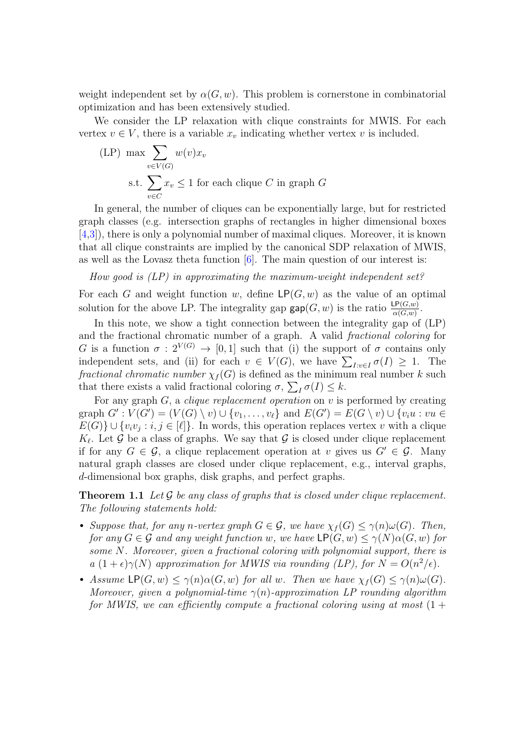weight independent set by  $\alpha(G, w)$ . This problem is cornerstone in combinatorial optimization and has been extensively studied.

We consider the LP relaxation with clique constraints for MWIS. For each vertex  $v \in V$ , there is a variable  $x_v$  indicating whether vertex v is included.

$$
\text{(LP)} \max \sum_{v \in V(G)} w(v) x_v
$$
\n
$$
\text{s.t.} \sum_{v \in C} x_v \le 1 \text{ for each clique } C \text{ in graph } G
$$

In general, the number of cliques can be exponentially large, but for restricted graph classes (e.g. intersection graphs of rectangles in higher dimensional boxes [\[4](#page-3-0)[,3\]](#page-3-1)), there is only a polynomial number of maximal cliques. Moreover, it is known that all clique constraints are implied by the canonical SDP relaxation of MWIS, as well as the Lovasz theta function  $[6]$ . The main question of our interest is:

How good is  $(LP)$  in approximating the maximum-weight independent set?

For each G and weight function w, define  $\mathsf{LP}(G, w)$  as the value of an optimal solution for the above LP. The integrality gap  $\textsf{gap}(G, w)$  is the ratio  $\frac{\textsf{LP}(G, w)}{\alpha(G, w)}$ .

In this note, we show a tight connection between the integrality gap of (LP) and the fractional chromatic number of a graph. A valid fractional coloring for G is a function  $\sigma : 2^{V(G)} \to [0,1]$  such that (i) the support of  $\sigma$  contains only independent sets, and (ii) for each  $v \in V(G)$ , we have  $\sum_{I: v \in I} \sigma(I) \geq 1$ . The fractional chromatic number  $\chi_f(G)$  is defined as the minimum real number k such that there exists a valid fractional coloring  $\sigma$ ,  $\sum_I \sigma(I) \leq k$ .

For any graph  $G$ , a *clique replacement operation* on  $v$  is performed by creating graph  $G': V(G') = (V(G) \setminus v) \cup \{v_1, \ldots, v_\ell\}$  and  $E(G') = E(G \setminus v) \cup \{v_i u : vu \in$  $E(G)$   $\cup$   $\{v_i v_j : i, j \in [\ell]\}.$  In words, this operation replaces vertex v with a clique  $K_{\ell}$ . Let G be a class of graphs. We say that G is closed under clique replacement if for any  $G \in \mathcal{G}$ , a clique replacement operation at v gives us  $G' \in \mathcal{G}$ . Many natural graph classes are closed under clique replacement, e.g., interval graphs, d-dimensional box graphs, disk graphs, and perfect graphs.

**Theorem 1.1** Let  $\mathcal G$  be any class of graphs that is closed under clique replacement. The following statements hold:

- Suppose that, for any n-vertex graph  $G \in \mathcal{G}$ , we have  $\chi_f(G) \leq \gamma(n) \omega(G)$ . Then, for any  $G \in \mathcal{G}$  and any weight function w, we have  $\mathsf{LP}(G, w) \leq \gamma(N) \alpha(G, w)$  for some N. Moreover, given a fractional coloring with polynomial support, there is a  $(1+\epsilon)\gamma(N)$  approximation for MWIS via rounding (LP), for  $N = O(n^2/\epsilon)$ .
- Assume  $\mathsf{LP}(G, w) \leq \gamma(n)\alpha(G, w)$  for all w. Then we have  $\chi_f(G) \leq \gamma(n)\omega(G)$ . Moreover, given a polynomial-time  $\gamma(n)$ -approximation LP rounding algorithm for MWIS, we can efficiently compute a fractional coloring using at most  $(1 +$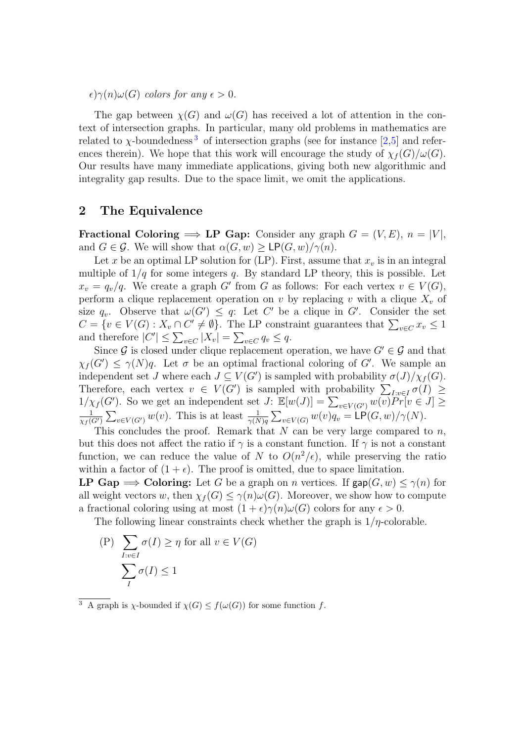$\epsilon$ ) $\gamma(n)\omega(G)$  colors for any  $\epsilon > 0$ .

The gap between  $\chi(G)$  and  $\omega(G)$  has received a lot of attention in the context of intersection graphs. In particular, many old problems in mathematics are related to  $\chi$ -boundedness<sup>[3](#page-2-0)</sup> of intersection graphs (see for instance [\[2](#page-3-3)[,5\]](#page-3-4) and references therein). We hope that this work will encourage the study of  $\chi_f(G)/\omega(G)$ . Our results have many immediate applications, giving both new algorithmic and integrality gap results. Due to the space limit, we omit the applications.

## 2 The Equivalence

**Fractional Coloring**  $\implies$  **LP Gap:** Consider any graph  $G = (V, E), n = |V|$ , and  $G \in \mathcal{G}$ . We will show that  $\alpha(G, w) \geq \mathsf{LP}(G, w)/\gamma(n)$ .

Let x be an optimal LP solution for (LP). First, assume that  $x<sub>v</sub>$  is in an integral multiple of  $1/q$  for some integers q. By standard LP theory, this is possible. Let  $x_v = q_v/q$ . We create a graph G' from G as follows: For each vertex  $v \in V(G)$ , perform a clique replacement operation on v by replacing v with a clique  $X_v$  of size  $q_v$ . Observe that  $\omega(G') \leq q$ : Let C' be a clique in G'. Consider the set  $C = \{v \in V(G) : X_v \cap C' \neq \emptyset\}$ . The LP constraint guarantees that  $\sum_{v \in C} x_v \leq 1$ and therefore  $|C'| \leq \sum_{v \in C} |X_v| = \sum_{v \in C} q_v \leq q$ .

Since G is closed under clique replacement operation, we have  $G' \in \mathcal{G}$  and that  $\chi_f(G') \leq \gamma(N)q$ . Let  $\sigma$  be an optimal fractional coloring of G'. We sample an independent set J where each  $J \subseteq V(G')$  is sampled with probability  $\sigma(J)/\chi_f(G)$ . Therefore, each vertex  $v \in V(G')$  is sampled with probability  $\sum_{I:v\in I}\sigma(I) \geq$  $1/\chi_f(G')$ . So we get an independent set  $J: \mathbb{E}[w(J)] = \sum_{v \in V(G')} w(v) P r[v \in J] \geq$ 1  $\frac{1}{\chi_f(G')}\sum_{v\in V(G')}w(v)$ . This is at least  $\frac{1}{\gamma(N)q}\sum_{v\in V(G)}w(v)q_v = \textsf{LP}(G,w)/\gamma(N)$ .

This concludes the proof. Remark that  $N$  can be very large compared to  $n$ , but this does not affect the ratio if  $\gamma$  is a constant function. If  $\gamma$  is not a constant function, we can reduce the value of N to  $O(n^2/\epsilon)$ , while preserving the ratio within a factor of  $(1 + \epsilon)$ . The proof is omitted, due to space limitation.

LP Gap  $\implies$  Coloring: Let G be a graph on n vertices. If  $\textsf{gap}(G, w) \leq \gamma(n)$  for all weight vectors w, then  $\chi_f(G) \leq \gamma(n)\omega(G)$ . Moreover, we show how to compute a fractional coloring using at most  $(1 + \epsilon)\gamma(n)\omega(G)$  colors for any  $\epsilon > 0$ .

The following linear constraints check whether the graph is  $1/\eta$ -colorable.

(P) 
$$
\sum_{I:v \in I} \sigma(I) \ge \eta \text{ for all } v \in V(G)
$$

$$
\sum_{I} \sigma(I) \le 1
$$

<span id="page-2-0"></span><sup>3</sup> A graph is *χ*-bounded if  $\chi(G) \leq f(\omega(G))$  for some function f.